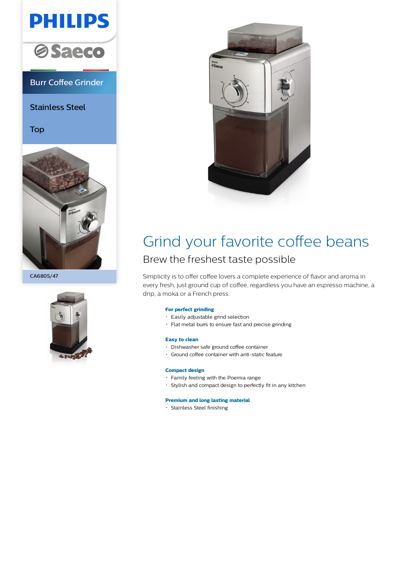# **PHILIPS**



### Burr Coffee Grinder

Stainless Steel

Top



CA6805/47





## Grind your favorite coffee beans Brew the freshest taste possible

Simplicity is to offer coffee lovers a complete experience of flavor and aroma in every fresh, just ground cup of coffee, regardless you have an espresso machine, a drip, a moka or a French press.

#### **For perfect grinding**

- Easily adjustable grind selection
- Flat metal burrs to ensure fast and precise grinding

#### **Easy to clean**

- Dishwasher safe ground coffee container
- Ground coffee container with anti-static feature

#### **Compact design**

- Family feeling with the Poemia range
- Stylish and compact design to perfectly fit in any kitchen

#### **Premium and long lasting material**

Stainless Steel finishing